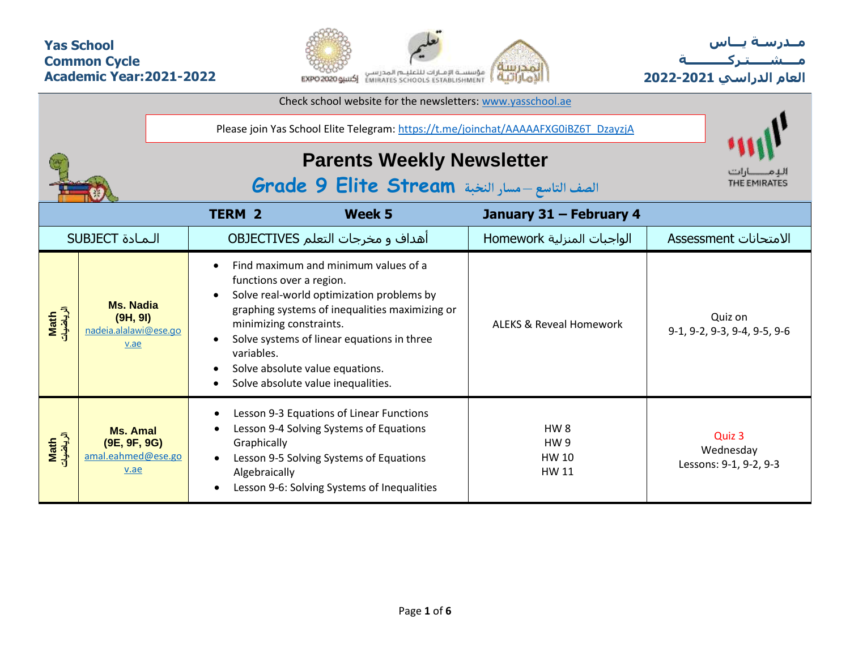## **Yas School Common Cycle Academic Year:2021-2022**



**مــدرسـة يـــاس مــــشـ ـــ ـتـ ركـ ــــــــــ ة العام الدراسي -2021 2022**

|                   |                                                               |                                                                                                                                                                                                                                                                                                                                                           | Please join Yas School Elite Telegram: https://t.me/joinchat/AAAAAFXG0iBZ6T_DzayzjA |                                               |  |  |  |  |  |  |  |  |
|-------------------|---------------------------------------------------------------|-----------------------------------------------------------------------------------------------------------------------------------------------------------------------------------------------------------------------------------------------------------------------------------------------------------------------------------------------------------|-------------------------------------------------------------------------------------|-----------------------------------------------|--|--|--|--|--|--|--|--|
|                   |                                                               | <b>Parents Weekly Newsletter</b><br>الصف التاسع - مسار النخبة Grade 9 Elite Stream                                                                                                                                                                                                                                                                        | THE EMIRATES                                                                        |                                               |  |  |  |  |  |  |  |  |
|                   |                                                               | <b>TERM 2</b><br>Week 5                                                                                                                                                                                                                                                                                                                                   | January 31 - February 4                                                             |                                               |  |  |  |  |  |  |  |  |
|                   | <b>SUBJECT</b> المادة                                         | أهداف و مخرجات التعلم OBJECTIVES                                                                                                                                                                                                                                                                                                                          | الواجبات المنزلية Homework                                                          | الامتحانات Assessment                         |  |  |  |  |  |  |  |  |
| الرياضيات<br>Math | <b>Ms. Nadia</b><br>(9H, 9I)<br>nadeia.alalawi@ese.go<br>v.ae | Find maximum and minimum values of a<br>functions over a region.<br>Solve real-world optimization problems by<br>$\bullet$<br>graphing systems of inequalities maximizing or<br>minimizing constraints.<br>Solve systems of linear equations in three<br>variables.<br>Solve absolute value equations.<br>Solve absolute value inequalities.<br>$\bullet$ | <b>ALFKS &amp; Reveal Homework</b>                                                  | Quiz on<br>9-1, 9-2, 9-3, 9-4, 9-5, 9-6       |  |  |  |  |  |  |  |  |
| الرياضيات<br>Math | <b>Ms. Amal</b><br>(9E, 9F, 9G)<br>amal.eahmed@ese.go<br>v.ae | Lesson 9-3 Equations of Linear Functions<br>Lesson 9-4 Solving Systems of Equations<br>Graphically<br>Lesson 9-5 Solving Systems of Equations<br>Algebraically<br>Lesson 9-6: Solving Systems of Inequalities<br>$\bullet$                                                                                                                                | HW <sub>8</sub><br>HW <sub>9</sub><br>HW 10<br><b>HW 11</b>                         | Quiz 3<br>Wednesday<br>Lessons: 9-1, 9-2, 9-3 |  |  |  |  |  |  |  |  |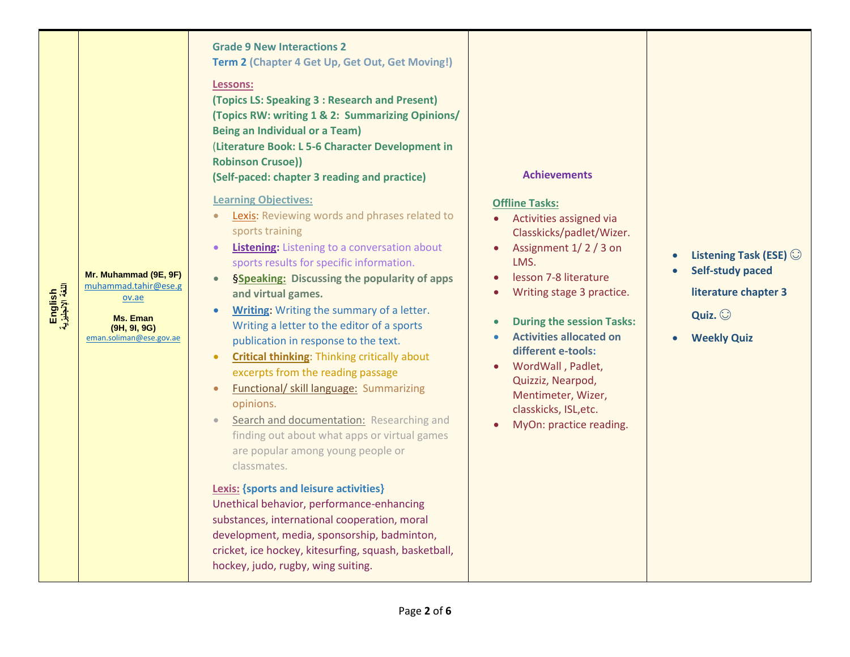| English<br>اللغة الإنجليزية | Mr. Muhammad (9E, 9F)<br>muhammad.tahir@ese.g<br>ov.ae<br>Ms. Eman | <b>Grade 9 New Interactions 2</b><br>Term 2 (Chapter 4 Get Up, Get Out, Get Moving!)<br>Lessons:<br>(Topics LS: Speaking 3 : Research and Present)<br>(Topics RW: writing 1 & 2: Summarizing Opinions/<br><b>Being an Individual or a Team)</b><br>(Literature Book: L 5-6 Character Development in<br><b>Robinson Crusoe))</b><br>(Self-paced: chapter 3 reading and practice)<br><b>Learning Objectives:</b><br>Lexis: Reviewing words and phrases related to<br>sports training<br><b>Listening:</b> Listening to a conversation about<br>sports results for specific information.<br><b>§Speaking: Discussing the popularity of apps</b><br>and virtual games.<br>Writing Writing the summary of a letter.<br>Writing a letter to the editor of a sports | <b>Achievements</b><br><b>Offline Tasks:</b><br>• Activities assigned via<br>Classkicks/padlet/Wizer.<br>Assignment 1/2/3 on<br>LMS.<br>lesson 7-8 literature<br>Writing stage 3 practice.<br><b>During the session Tasks:</b> | Listening Task (ESE)<br><b>Self-study paced</b><br>literature chapter 3<br>Quiz. $\odot$ |
|-----------------------------|--------------------------------------------------------------------|--------------------------------------------------------------------------------------------------------------------------------------------------------------------------------------------------------------------------------------------------------------------------------------------------------------------------------------------------------------------------------------------------------------------------------------------------------------------------------------------------------------------------------------------------------------------------------------------------------------------------------------------------------------------------------------------------------------------------------------------------------------|--------------------------------------------------------------------------------------------------------------------------------------------------------------------------------------------------------------------------------|------------------------------------------------------------------------------------------|
|                             | (9H, 9I, 9G)<br>eman.soliman@ese.gov.ae                            | publication in response to the text.<br><b>Critical thinking: Thinking critically about</b><br>$\bullet$<br>excerpts from the reading passage<br><b>Functional/ skill language: Summarizing</b><br>opinions.<br>Search and documentation: Researching and<br>finding out about what apps or virtual games<br>are popular among young people or<br>classmates.<br><b>Lexis: {sports and leisure activities}</b><br>Unethical behavior, performance-enhancing<br>substances, international cooperation, moral<br>development, media, sponsorship, badminton,<br>cricket, ice hockey, kitesurfing, squash, basketball,<br>hockey, judo, rugby, wing suiting.                                                                                                    | <b>Activities allocated on</b><br>different e-tools:<br>WordWall, Padlet,<br>Quizziz, Nearpod,<br>Mentimeter, Wizer,<br>classkicks, ISL, etc.<br>MyOn: practice reading.                                                       | <b>Weekly Quiz</b>                                                                       |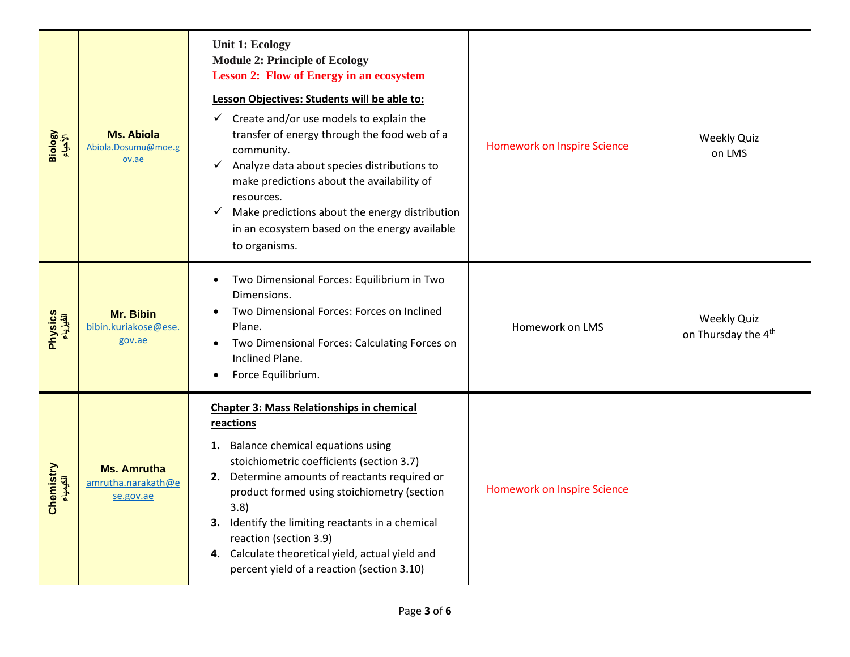| Biology<br>الأحياء    | <b>Ms. Abiola</b><br>Abiola.Dosumu@moe.g<br>ov.ae     | <b>Unit 1: Ecology</b><br><b>Module 2: Principle of Ecology</b><br><b>Lesson 2: Flow of Energy in an ecosystem</b><br>Lesson Objectives: Students will be able to:<br>$\checkmark$ Create and/or use models to explain the<br>transfer of energy through the food web of a<br>community.<br>Analyze data about species distributions to<br>$\checkmark$<br>make predictions about the availability of<br>resources.<br>Make predictions about the energy distribution<br>✓<br>in an ecosystem based on the energy available<br>to organisms. | <b>Homework on Inspire Science</b> | <b>Weekly Quiz</b><br>on LMS                          |
|-----------------------|-------------------------------------------------------|----------------------------------------------------------------------------------------------------------------------------------------------------------------------------------------------------------------------------------------------------------------------------------------------------------------------------------------------------------------------------------------------------------------------------------------------------------------------------------------------------------------------------------------------|------------------------------------|-------------------------------------------------------|
| Physics<br>الفیزیاء   | Mr. Bibin<br>bibin.kuriakose@ese.<br>gov.ae           | Two Dimensional Forces: Equilibrium in Two<br>Dimensions.<br>Two Dimensional Forces: Forces on Inclined<br>Plane.<br>Two Dimensional Forces: Calculating Forces on<br>Inclined Plane.<br>Force Equilibrium.                                                                                                                                                                                                                                                                                                                                  | Homework on LMS                    | <b>Weekly Quiz</b><br>on Thursday the 4 <sup>th</sup> |
| Chemistry<br>الكلعلاء | <b>Ms. Amrutha</b><br>amrutha.narakath@e<br>se.gov.ae | <b>Chapter 3: Mass Relationships in chemical</b><br>reactions<br>1. Balance chemical equations using<br>stoichiometric coefficients (section 3.7)<br>2. Determine amounts of reactants required or<br>product formed using stoichiometry (section<br>3.8)<br>Identify the limiting reactants in a chemical<br>3.<br>reaction (section 3.9)<br>4. Calculate theoretical yield, actual yield and<br>percent yield of a reaction (section 3.10)                                                                                                 | <b>Homework on Inspire Science</b> |                                                       |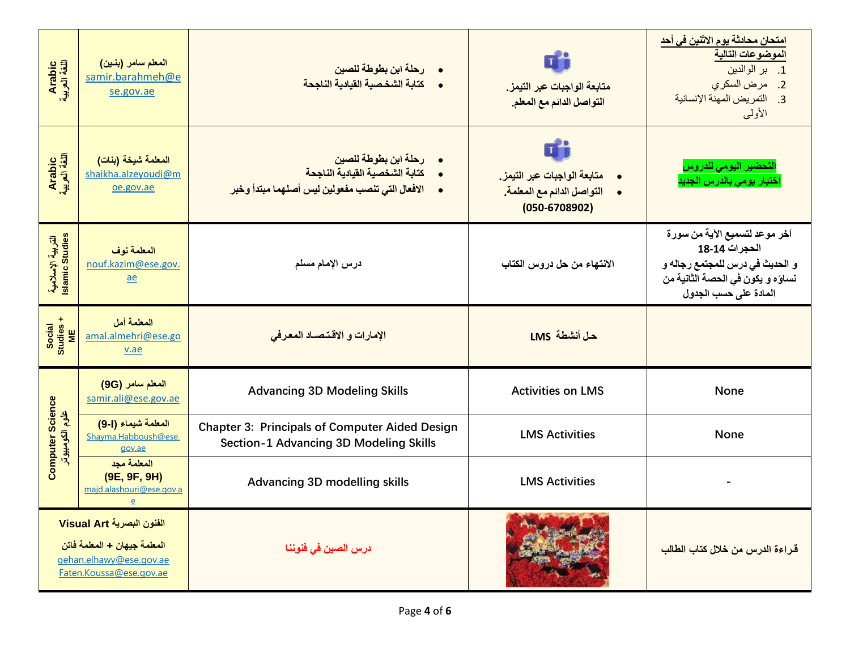| Arabic<br>اللغة العربية                                                                                         | المعلم سامر (بنين)<br>samir.barahmeh@e<br>se.gov.ae     | رحلة ابن بطوطة للصين<br>•     كتابة الشخصية القيادية الناجحة                                                                                     | متابعة الواجبات عبر التيمز.<br>التواصل الدائم مع المعلم.                       | <u>امتحان محادثة يوم الاثنين في أحد</u><br>الموضوعات التالية<br>1. بر الوالدين<br>2. مرض السكري<br>3. التمريض المهنة الإنسانية<br>الأولسي      |  |  |  |  |
|-----------------------------------------------------------------------------------------------------------------|---------------------------------------------------------|--------------------------------------------------------------------------------------------------------------------------------------------------|--------------------------------------------------------------------------------|------------------------------------------------------------------------------------------------------------------------------------------------|--|--|--|--|
| Arabic<br>اللغة العربية                                                                                         | المعلمة شيخة (بنات)<br>shaikha.alzeyoudi@m<br>oe.gov.ae | رحلة ابن بطوطة للصين<br>$\bullet$<br>كتابة الشخصية القيادية الناجحة<br>$\bullet$<br>الافعال التي تنصب مفعولين ليس أصلهما مبتدأ وخبر<br>$\bullet$ | متابعة الواجبات عبر التيمز.<br>التواصل الدائم مع المعلمة.<br>$(050 - 6708902)$ | التحضير اليومي للدروس<br>ختبار يومي بالدرس الجديد                                                                                              |  |  |  |  |
| التربية الإسلامية<br>Islamic Studies                                                                            | المعلمة نوف<br>nouf.kazim@ese.gov.<br>ae                | درس الإمام مسلم                                                                                                                                  | الانتهاء من حل دروس الكتاب                                                     | آخر موعد لتسميع الآية من سورة<br>الحجرات 14-18<br>و الحديث في درس للمجتمع رجاله و<br>نساؤه و يكون في الحصة الثانية من<br>المادة على حسب الجدول |  |  |  |  |
| Social<br>Studies +<br>ME                                                                                       | المعلمة أمل<br>amal.almehri@ese.go<br>v.ae              | الإمارات و الاقتصاد المعرفي                                                                                                                      | حل أنشطة LMS                                                                   |                                                                                                                                                |  |  |  |  |
|                                                                                                                 | المعلم سامر (9G)<br>samir.ali@ese.gov.ae                | <b>Advancing 3D Modeling Skills</b>                                                                                                              | <b>Activities on LMS</b>                                                       | <b>None</b>                                                                                                                                    |  |  |  |  |
| <b>Computer Science</b><br>علوم الكومبيوتر                                                                      | المعلمة شيماء (1-9)<br>Shayma.Habboush@ese.<br>gov.ae   | <b>Chapter 3: Principals of Computer Aided Design</b><br>Section-1 Advancing 3D Modeling Skills                                                  | <b>LMS Activities</b>                                                          | <b>None</b>                                                                                                                                    |  |  |  |  |
|                                                                                                                 | المعلمة مجد<br>(9E, 9F, 9H)<br>majd.alashouri@ese.gov.a | <b>Advancing 3D modelling skills</b>                                                                                                             | <b>LMS Activities</b>                                                          |                                                                                                                                                |  |  |  |  |
| الفنون البصرية Visual Art<br>المعلمة جيهان + المعلمة فاتن<br>gehan.elhawy@ese.gov.ae<br>Faten.Koussa@ese.gov.ae |                                                         | درس الصين في فنوننا                                                                                                                              |                                                                                | قراءة الدرس من خلال كتاب الطالب                                                                                                                |  |  |  |  |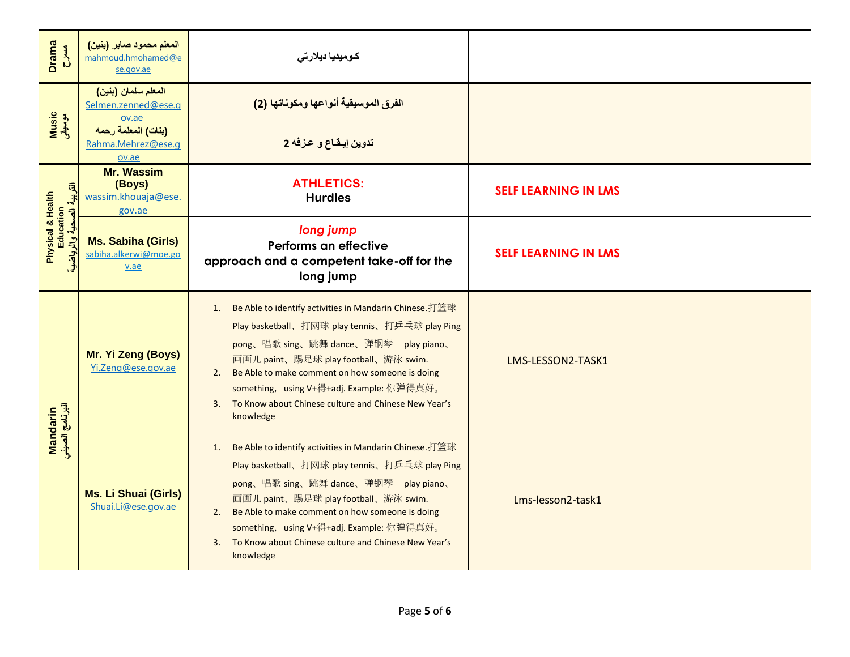| <b>Drama</b><br>$rac{3}{2}$                              | المعلم محمود صابر (بنين)<br>mahmoud.hmohamed@e<br>se.gov.ae  | كوميديا ديلارتى                                                                                                                                                                                                                                                                                                                                                                  |                             |  |
|----------------------------------------------------------|--------------------------------------------------------------|----------------------------------------------------------------------------------------------------------------------------------------------------------------------------------------------------------------------------------------------------------------------------------------------------------------------------------------------------------------------------------|-----------------------------|--|
| Music<br>موسیقی                                          | المعلم سلمان (بنين)<br>Selmen.zenned@ese.g<br>ov.ae          | الفرق الموسيقية أنواعها ومكوناتها (2)                                                                                                                                                                                                                                                                                                                                            |                             |  |
|                                                          | (بنات) المعلمة رحمه<br>Rahma.Mehrez@ese.q<br>ov.ae           | تدوين إيقاع و عزفه 2                                                                                                                                                                                                                                                                                                                                                             |                             |  |
|                                                          | <b>Mr. Wassim</b><br>(Boys)<br>wassim.khouaja@ese.<br>gov.ae | <b>ATHLETICS:</b><br><b>Hurdles</b>                                                                                                                                                                                                                                                                                                                                              | <b>SELF LEARNING IN LMS</b> |  |
| التربية الصحية والرياض<br>Physical & Health<br>Education | <b>Ms. Sabiha (Girls)</b><br>sabiha.alkerwi@moe.go<br>v.ae   | long jump<br>Performs an effective<br>approach and a competent take-off for the<br>long jump                                                                                                                                                                                                                                                                                     | <b>SELF LEARNING IN LMS</b> |  |
| Mandarin<br>البرنامج الصيني                              | Mr. Yi Zeng (Boys)<br>Yi.Zeng@ese.gov.ae                     | Be Able to identify activities in Mandarin Chinese. 打篮球<br>1.<br>Play basketball、打网球 play tennis、打乒乓球 play Ping<br>pong、唱歌 sing、跳舞 dance、弹钢琴 play piano、<br>画画儿 paint、踢足球 play football、游泳 swim.<br>2. Be Able to make comment on how someone is doing<br>something, using V+得+adj. Example: 你弹得真好。<br>3. To Know about Chinese culture and Chinese New Year's<br>knowledge      | LMS-LESSON2-TASK1           |  |
|                                                          | <b>Ms. Li Shuai (Girls)</b><br>Shuai.Li@ese.gov.ae           | Be Able to identify activities in Mandarin Chinese.打篮球<br>1.<br>Play basketball、打网球 play tennis、打乒乓球 play Ping<br>pong、唱歌 sing、跳舞 dance、弹钢琴 play piano、<br>画画儿 paint、踢足球 play football、游泳 swim.<br>Be Able to make comment on how someone is doing<br>2.<br>something, using V+得+adj. Example: 你弹得真好。<br>To Know about Chinese culture and Chinese New Year's<br>3.<br>knowledge | Lms-lesson2-task1           |  |